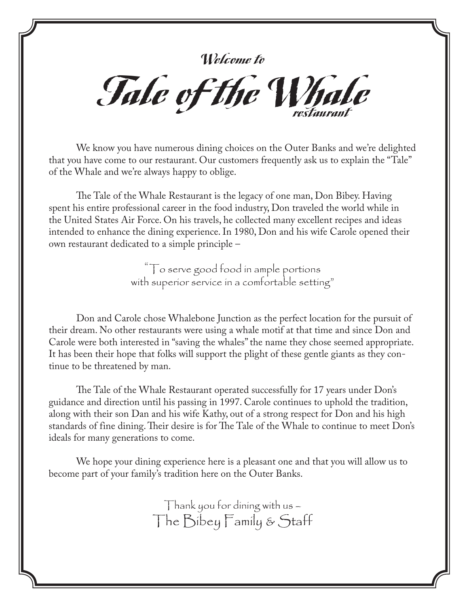### **Welcome to**

**Tale of the Whale restaurant**

 We know you have numerous dining choices on the Outer Banks and we're delighted that you have come to our restaurant. Our customers frequently ask us to explain the "Tale" of the Whale and we're always happy to oblige.

The Tale of the Whale Restaurant is the legacy of one man, Don Bibey. Having spent his entire professional career in the food industry, Don traveled the world while in the United States Air Force. On his travels, he collected many excellent recipes and ideas intended to enhance the dining experience. In 1980, Don and his wife Carole opened their own restaurant dedicated to a simple principle –

> "To serve good food in ample portions with superior service in a comfortable setting"

 Don and Carole chose Whalebone Junction as the perfect location for the pursuit of their dream. No other restaurants were using a whale motif at that time and since Don and Carole were both interested in "saving the whales" the name they chose seemed appropriate. It has been their hope that folks will support the plight of these gentle giants as they continue to be threatened by man.

The Tale of the Whale Restaurant operated successfully for 17 years under Don's guidance and direction until his passing in 1997. Carole continues to uphold the tradition, along with their son Dan and his wife Kathy, out of a strong respect for Don and his high standards of fine dining. Their desire is for The Tale of the Whale to continue to meet Don's ideals for many generations to come.

 We hope your dining experience here is a pleasant one and that you will allow us to become part of your family's tradition here on the Outer Banks.

> Thank you for dining with us – The Bibey Family & Staff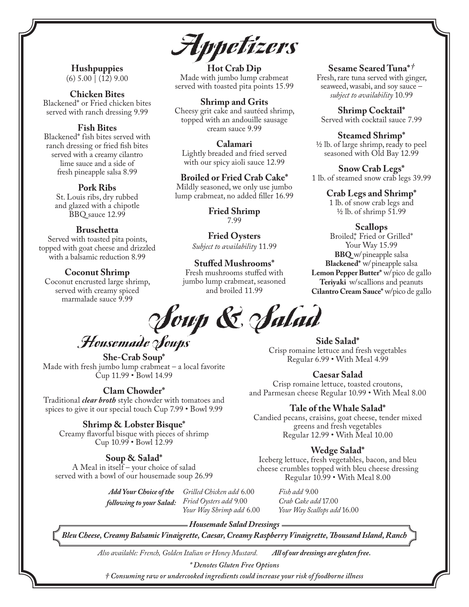**Hushpuppies** (6) 5.00 | (12) 9.00

**Chicken Bites** Blackened\* or Fried chicken bites served with ranch dressing 9.99

#### **Fish Bites**

Blackened\* fish bites served with ranch dressing or fried fish bites served with a creamy cilantro lime sauce and a side of fresh pineapple salsa 8.99

#### **Pork Ribs**

St. Louis ribs, dry rubbed and glazed with a chipotle BBQ sauce 12.99

#### **Bruschetta**

Served with toasted pita points, topped with goat cheese and drizzled with a balsamic reduction 8.99

#### **Coconut Shrimp**

Coconut encrusted large shrimp, served with creamy spiced marmalade sauce 9.99

**Appetizers**

**Hot Crab Dip** Made with jumbo lump crabmeat served with toasted pita points 15.99

#### **Shrimp and Grits**

Cheesy grit cake and sautéed shrimp, topped with an andouille sausage cream sauce 9.99

**Calamari** Lightly breaded and fried served with our spicy aioli sauce 12.99

#### **Broiled or Fried Crab Cake\***

Mildly seasoned, we only use jumbo lump crabmeat, no added filler 16.99

> **Fried Shrimp** 7.99

**Fried Oysters** *Subject to availability* 11.99

#### **Stuffed Mushrooms\***

Fresh mushrooms stuffed with jumbo lump crabmeat, seasoned and broiled 11.99

**Soup & Salad**

**Housemade Soups** 

**She-Crab Soup\*** Made with fresh jumbo lump crabmeat – a local favorite Cup 11.99 • Bowl 14.99

#### **Clam Chowder\***

Traditional *clear broth* style chowder with tomatoes and spices to give it our special touch Cup 7.99 • Bowl 9.99

#### **Shrimp & Lobster Bisque\***

Creamy flavorful bisque with pieces of shrimp Cup 10.99 • Bowl 12.99

#### **Soup & Salad\***

A Meal in itself – your choice of salad served with a bowl of our housemade soup 26.99

> *Grilled Chicken add* 6.00 *Fried Oysters add* 9.00 *Your Way Shrimp add* 6.00 *Add Your Choice of the following to your Salad:*

**Side Salad\*** Crisp romaine lettuce and fresh vegetables Regular 6.99 • With Meal 4.99

#### **Caesar Salad**

Crisp romaine lettuce, toasted croutons, and Parmesan cheese Regular 10.99 • With Meal 8.00

#### **Tale of the Whale Salad\***

Candied pecans, craisins, goat cheese, tender mixed greens and fresh vegetables Regular 12.99 • With Meal 10.00

#### **Wedge Salad\***

Iceberg lettuce, fresh vegetables, bacon, and bleu cheese crumbles topped with bleu cheese dressing Regular 10.99 • With Meal 8.00

*Fish add* 9.00 *Crab Cake add* 17.00 *Your Way Scallops add* 16.00

*Housemade Salad Dressings*

*Bleu Cheese, Creamy Balsamic Vinaigrette, Caesar, Creamy Raspberry Vinaigrette, Th ousand Island, Ranch* 

*Also available: French, Golden Italian or Honey Mustard. All of our dressings are gluten free.*

*\* Denotes Gluten Free Options*

*† Consuming raw or undercooked ingredients could increase your risk of foodborne illness*

#### **Sesame Seared Tuna\****†*

Fresh, rare tuna served with ginger, seaweed, wasabi, and soy sauce – *subject to availability* 10.99

**Shrimp Cocktail\*** Served with cocktail sauce 7.99

**Steamed Shrimp\*** ½ lb. of large shrimp, ready to peel seasoned with Old Bay 12.99

**Snow Crab Legs\*** 1 lb. of steamed snow crab legs 39.99

> **Crab Legs and Shrimp\*** 1 lb. of snow crab legs and ½ lb. of shrimp 51.99

#### **Scallops**

Broiled<sup>\*</sup>, Fried or Grilled<sup>\*</sup> Your Way 15.99 **BBQ** w/ pineapple salsa **Blackened\*** w/ pineapple salsa **Lemon Pepper Butter\*** w/pico de gallo Teriyaki w/scallions and peanuts Cilantro Cream Sauce\* w/pico de gallo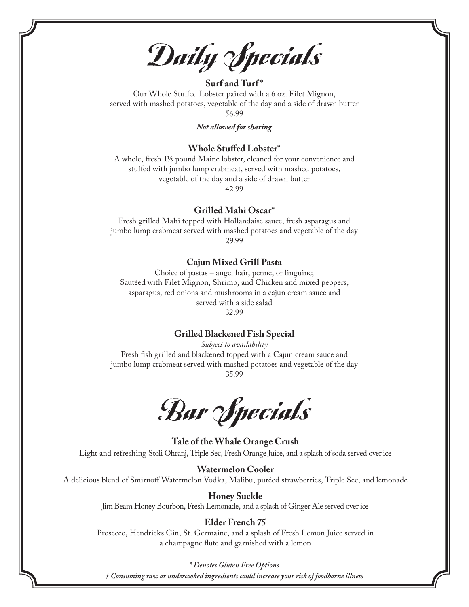**Daily Specials**

#### **Surf and Turf \***

Our Whole Stuffed Lobster paired with a 6 oz. Filet Mignon, served with mashed potatoes, vegetable of the day and a side of drawn butter 56.99

*Not allowed for sharing*

#### **Whole Stuffed Lobster\***

A whole, fresh 1⅓ pound Maine lobster, cleaned for your convenience and stuffed with jumbo lump crabmeat, served with mashed potatoes, vegetable of the day and a side of drawn butter 42.99

#### **Grilled Mahi Oscar\***

Fresh grilled Mahi topped with Hollandaise sauce, fresh asparagus and jumbo lump crabmeat served with mashed potatoes and vegetable of the day 29.99

#### **Cajun Mixed Grill Pasta**

Choice of pastas – angel hair, penne, or linguine; Sautéed with Filet Mignon, Shrimp, and Chicken and mixed peppers, asparagus, red onions and mushrooms in a cajun cream sauce and served with a side salad 32.99

#### **Grilled Blackened Fish Special**

*Subject to availability* Fresh fish grilled and blackened topped with a Cajun cream sauce and jumbo lump crabmeat served with mashed potatoes and vegetable of the day 35.99

**Bar Specials**

**Tale of the Whale Orange Crush** Light and refreshing Stoli Ohranj, Triple Sec, Fresh Orange Juice, and a splash of soda served over ice

#### **Watermelon Cooler**

A delicious blend of Smirnoff Watermelon Vodka, Malibu, puréed strawberries, Triple Sec, and lemonade

#### **Honey Suckle**

Jim Beam Honey Bourbon, Fresh Lemonade, and a splash of Ginger Ale served over ice

#### **Elder French 75**

Prosecco, Hendricks Gin, St. Germaine, and a splash of Fresh Lemon Juice served in a champagne flute and garnished with a lemon

#### *\* Denotes Gluten Free Options*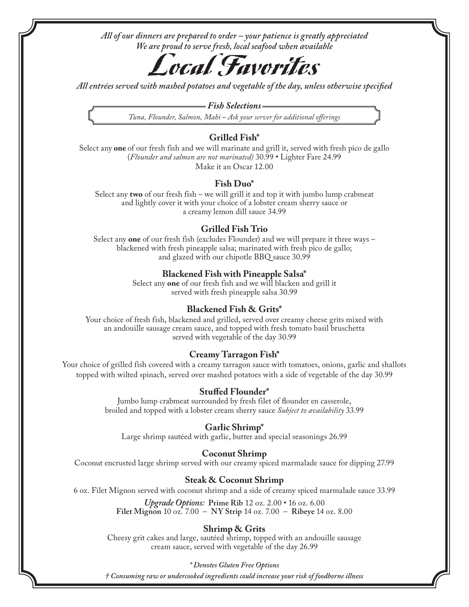

All entrées served with mashed potatoes and vegetable of the day, unless otherwise specified

*Fish Selections*

Tuna, Flounder, Salmon, Mahi ~ Ask your server for additional offerings

#### **Grilled Fish\***

Select any **one** of our fresh fish and we will marinate and grill it, served with fresh pico de gallo (*Flounder and salmon are not marinated)* 30.99 • Lighter Fare 24.99 Make it an Oscar 12.00

#### **Fish Duo\***

Select any **two** of our fresh fish – we will grill it and top it with jumbo lump crabmeat and lightly cover it with your choice of a lobster cream sherry sauce or a creamy lemon dill sauce 34.99

#### **Grilled Fish Trio**

Select any **one** of our fresh fish (excludes Flounder) and we will prepare it three ways – blackened with fresh pineapple salsa; marinated with fresh pico de gallo; and glazed with our chipotle BBQ sauce 30.99

#### **Blackened Fish with Pineapple Salsa\***

Select any **one** of our fresh fish and we will blacken and grill it served with fresh pineapple salsa 30.99

#### **Blackened Fish & Grits\***

Your choice of fresh fish, blackened and grilled, served over creamy cheese grits mixed with an andouille sausage cream sauce, and topped with fresh tomato basil bruschetta served with vegetable of the day 30.99

#### **Creamy Tarragon Fish\***

Your choice of grilled fish covered with a creamy tarragon sauce with tomatoes, onions, garlic and shallots topped with wilted spinach, served over mashed potatoes with a side of vegetable of the day 30.99

#### **Stuffed Flounder\***

Jumbo lump crabmeat surrounded by fresh filet of flounder en casserole, broiled and topped with a lobster cream sherry sauce *Subject to availability* 33.99

#### **Garlic Shrimp\***

Large shrimp sautéed with garlic, butter and special seasonings 26.99

#### **Coconut Shrimp**

Coconut encrusted large shrimp served with our creamy spiced marmalade sauce for dipping 27.99

#### **Steak & Coconut Shrimp**

6 oz. Filet Mignon served with coconut shrimp and a side of creamy spiced marmalade sauce 33.99

*Upgrade Options:* **Prime Rib** 12 oz. 2.00 • 16 oz. 6.00 **Filet Mignon** 10 oz. 7.00 – **NY Strip** 14 oz. 7.00 – **Ribeye** 14 oz. 8.00

#### **Shrimp & Grits**

Cheesy grit cakes and large, sautéed shrimp, topped with an andouille sausage cream sauce, served with vegetable of the day 26.99

#### *\* Denotes Gluten Free Options*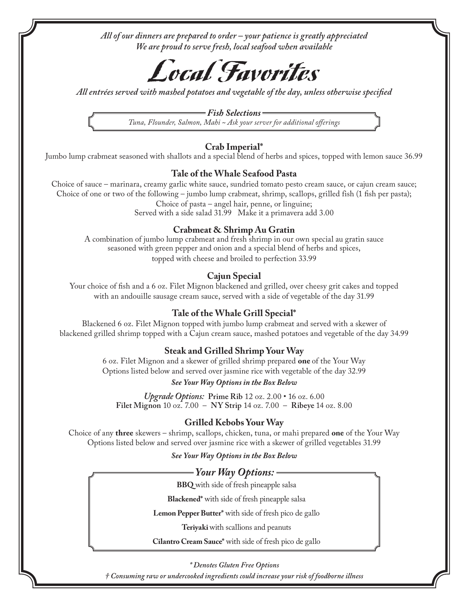

All entrées served with mashed potatoes and vegetable of the day, unless otherwise specified

*Fish Selections* Tuna, Flounder, Salmon, Mahi ~ Ask your server for additional offerings

#### **Crab Imperial\***

Jumbo lump crabmeat seasoned with shallots and a special blend of herbs and spices, topped with lemon sauce 36.99

#### **Tale of the Whale Seafood Pasta**

Choice of sauce – marinara, creamy garlic white sauce, sundried tomato pesto cream sauce, or cajun cream sauce; Choice of one or two of the following – jumbo lump crabmeat, shrimp, scallops, grilled fish (1 fish per pasta); Choice of pasta – angel hair, penne, or linguine;

Served with a side salad 31.99 Make it a primavera add 3.00

#### **Crabmeat & Shrimp Au Gratin**

A combination of jumbo lump crabmeat and fresh shrimp in our own special au gratin sauce seasoned with green pepper and onion and a special blend of herbs and spices, topped with cheese and broiled to perfection 33.99

#### **Cajun Special**

Your choice of fish and a 6 oz. Filet Mignon blackened and grilled, over cheesy grit cakes and topped with an andouille sausage cream sauce, served with a side of vegetable of the day 31.99

#### **Tale of the Whale Grill Special\***

Blackened 6 oz. Filet Mignon topped with jumbo lump crabmeat and served with a skewer of blackened grilled shrimp topped with a Cajun cream sauce, mashed potatoes and vegetable of the day 34.99

#### **Steak and Grilled Shrimp Your Way**

6 oz. Filet Mignon and a skewer of grilled shrimp prepared **one** of the Your Way Options listed below and served over jasmine rice with vegetable of the day 32.99

#### *See Your Way Options in the Box Below*

*Upgrade Options:* **Prime Rib** 12 oz. 2.00 • 16 oz. 6.00 **Filet Mignon** 10 oz. 7.00 – **NY Strip** 14 oz. 7.00 – **Ribeye** 14 oz. 8.00

#### **Grilled Kebobs Your Way**

Choice of any **three** skewers – shrimp, scallops, chicken, tuna, or mahi prepared **one** of the Your Way Options listed below and served over jasmine rice with a skewer of grilled vegetables 31.99

*See Your Way Options in the Box Below*

#### *Your Way Options:*

**BBQ** with side of fresh pineapple salsa

**Blackened\*** with side of fresh pineapple salsa

**Lemon Pepper Butter\*** with side of fresh pico de gallo

**Teriyaki** with scallions and peanuts

**Cilantro Cream Sauce\*** with side of fresh pico de gallo

#### *\* Denotes Gluten Free Options*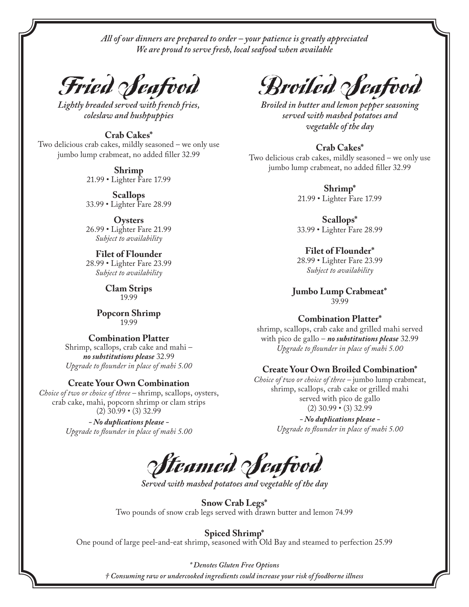**Fried Seafood**

*Lightly breaded served with french fries, coleslaw and hushpuppies*

**Crab Cakes\*** Two delicious crab cakes, mildly seasoned – we only use jumbo lump crabmeat, no added filler 32.99

> **Shrimp** 21.99 • Lighter Fare 17.99

> **Scallops** 33.99 • Lighter Fare 28.99

> **Oysters** 26.99 • Lighter Fare 21.99 *Subject to availability*

> **Filet of Flounder** 28.99 • Lighter Fare 23.99 *Subject to availability*

> > **Clam Strips** 19.99

**Popcorn Shrimp** 19.99

**Combination Platter** Shrimp, scallops, crab cake and mahi – *no substitutions please* 32.99 *Upgrade to flounder in place of mahi 5.00* 

#### **Create Your Own Combination**

*Choice of two or choice of three –* shrimp, scallops, oysters, crab cake, mahi, popcorn shrimp or clam strips (2) 30.99 • (3) 32.99

> *- No duplications please - Upgrade to fl ounder in place of mahi 5.00*

**Broiled Seafood**

*Broiled in butter and lemon pepper seasoning served with mashed potatoes and vegetable of the day*

#### **Crab Cakes\***

Two delicious crab cakes, mildly seasoned – we only use jumbo lump crabmeat, no added filler 32.99

> **Shrimp\*** 21.99 • Lighter Fare 17.99

> **Scallops\*** 33.99 • Lighter Fare 28.99

> **Filet of Flounder\*** 28.99 • Lighter Fare 23.99 *Subject to availability*

**Jumbo Lump Crabmeat\*** 39.99

**Combination Platter\***

shrimp, scallops, crab cake and grilled mahi served with pico de gallo – *no substitutions please* 32.99 *Upgrade to fl ounder in place of mahi 5.00*

#### **Create Your Own Broiled Combination\***

*Choice of two or choice of three –* jumbo lump crabmeat, shrimp, scallops, crab cake or grilled mahi served with pico de gallo (2) 30.99 • (3) 32.99

> *- No duplications please - Upgrade to flounder in place of mahi 5.00*

**Steamed Seafood**

*Served with mashed potatoes and vegetable of the day*

**Snow Crab Legs\*** Two pounds of snow crab legs served with drawn butter and lemon 74.99

#### **Spiced Shrimp\***

One pound of large peel-and-eat shrimp, seasoned with Old Bay and steamed to perfection 25.99

#### *\* Denotes Gluten Free Options*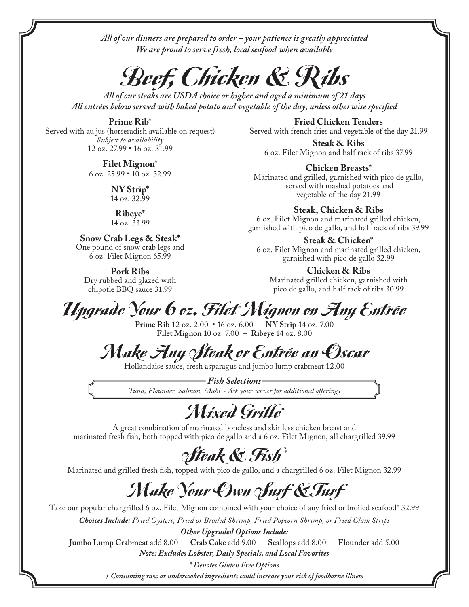

*All of our steaks are USDA choice or higher and aged a minimum of 21 days* All entrées below served with baked potato and vegetable of the day, unless otherwise specified

**Prime Rib\*** Served with au jus (horseradish available on request) *Subject to availability* 12 oz. 27.99 • 16 oz. 31.99

> **Filet Mignon\***  6 oz. 25.99 • 10 oz. 32.99

> > **NY Strip\***  14 oz. 32.99

**Ribeye\*** 

14 oz. 33.99

#### **Snow Crab Legs & Steak\***

One pound of snow crab legs and 6 oz. Filet Mignon 65.99

**Pork Ribs** Dry rubbed and glazed with chipotle BBQ sauce 31.99

**Fried Chicken Tenders** Served with french fries and vegetable of the day 21.99

**Steak & Ribs** 6 oz. Filet Mignon and half rack of ribs 37.99

#### **Chicken Breasts\***

Marinated and grilled, garnished with pico de gallo, served with mashed potatoes and vegetable of the day 21.99

#### **Steak, Chicken & Ribs**

6 oz. Filet Mignon and marinated grilled chicken, garnished with pico de gallo, and half rack of ribs 39.99

#### **Steak & Chicken\***

6 oz. Filet Mignon and marinated grilled chicken, garnished with pico de gallo 32.99

**Chicken & Ribs** Marinated grilled chicken, garnished with pico de gallo, and half rack of ribs 30.99

## **Upgrade Your 6 oz. Filet Mignon on Any Entrée**

**Prime Rib** 12 oz. 2.00 • 16 oz. 6.00 – **NY Strip** 14 oz. 7.00 **Filet Mignon** 10 oz. 7.00 – **Ribeye** 14 oz. 8.00

## **Make Any Steak or Entrée an Oscar**

Hollandaise sauce, fresh asparagus and jumbo lump crabmeat 12.00

*Fish Selections* Tuna, Flounder, Salmon, Mahi ~ Ask your server for additional offerings

## **Mixed Grille\***

A great combination of marinated boneless and skinless chicken breast and marinated fresh fish, both topped with pico de gallo and a 6 oz. Filet Mignon, all chargrilled 39.99

## **Steak & Fish \***

Marinated and grilled fresh fish, topped with pico de gallo, and a chargrilled 6 oz. Filet Mignon 32.99

## **Make Your Own Surf &Turf**

Take our popular chargrilled 6 oz. Filet Mignon combined with your choice of any fried or broiled seafood\* 32.99 *Choices Include: Fried Oysters, Fried or Broiled Shrimp, Fried Popcorn Shrimp, or Fried Clam Strips*

*Other Upgraded Options Include:*

**Jumbo Lump Crabmeat** add 8.00 – **Crab Cake** add 9.00 – **Scallops** add 8.00 – **Flounder** add 5.00 *Note: Excludes Lobster, Daily Specials, and Local Favorites*

*\* Denotes Gluten Free Options*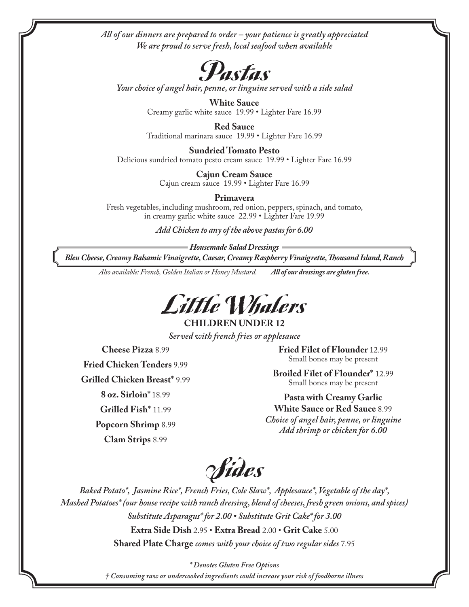

*Your choice of angel hair, penne, or linguine served with a side salad*

**White Sauce** Creamy garlic white sauce 19.99 • Lighter Fare 16.99

**Red Sauce** Traditional marinara sauce 19.99 • Lighter Fare 16.99

**Sundried Tomato Pesto** Delicious sundried tomato pesto cream sauce 19.99 • Lighter Fare 16.99

> **Cajun Cream Sauce** Cajun cream sauce 19.99 • Lighter Fare 16.99

**Primavera** Fresh vegetables, including mushroom, red onion, peppers, spinach, and tomato, in creamy garlic white sauce 22.99 • Lighter Fare 19.99

*Add Chicken to any of the above pastas for 6.00*

*Housemade Salad Dressings Bleu Cheese, Creamy Balsamic Vinaigrette, Caesar, Creamy Raspberry Vinaigrette, Thousand Island, Ranch* 

*Also available: French, Golden Italian or Honey Mustard. All of our dressings are gluten free.*



**CHILDREN UNDER 12**

*Served with french fries or applesauce*

**Cheese Pizza** 8.99 **Fried Chicken Tenders** 9.99

**Grilled Chicken Breast\*** 9.99

**8 oz. Sirloin\*** 18.99

**Grilled Fish\*** 11.99

**Popcorn Shrimp** 8.99

**Clam Strips** 8.99

**Fried Filet of Flounder** 12.99 Small bones may be present

**Broiled Filet of Flounder\*** 12.99 Small bones may be present

**Pasta with Creamy Garlic White Sauce or Red Sauce** 8.99 *Choice of angel hair, penne, or linguine Add shrimp or chicken for 6.00* 

**Sides**

*Baked Potato\*, Jasmine Rice\*, French Fries, Cole Slaw\*, Applesauce\*, Vegetable of the day\*, Mashed Potatoes\* (our house recipe with ranch dressing, blend of cheeses, fresh green onions, and spices) Substitute Asparagus\* for 2.00 • Substitute Grit Cake\* for 3.00* **Extra Side Dish** 2.95 • **Extra Bread** 2.00 • **Grit Cake** 5.00 **Shared Plate Charge** *comes with your choice of two regular sides* 7.95

> *\* Denotes Gluten Free Options † Consuming raw or undercooked ingredients could increase your risk of foodborne illness*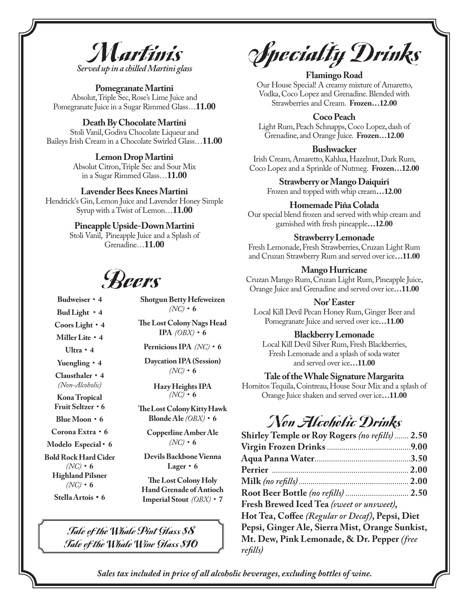

**Pomegranate Martini** Absolut, Triple Sec, Rose's Lime Juice and Pomegranate Juice in a Sugar Rimmed Glass…**11.00**

#### **Death By Chocolate Martini**

Stoli Vanil, Godiva Chocolate Liqueur and Baileys Irish Cream in a Chocolate Swirled Glass…**11.00**

#### **Lemon Drop Martini**

Absolut Citron, Triple Sec and Sour Mix in a Sugar Rimmed Glass…**11.00**

#### **Lavender Bees Knees Martini**

Hendrick's Gin, Lemon Juice and Lavender Honey Simple Syrup with a Twist of Lemon…**11.00**

#### **Pineapple Upside-Down Martini**

Stoli Vanil, Pineapple Juice and a Splash of Grenadine…**11.00**

**Beers**

**Budweiser** • **4 Bud Light** • **4 Coors Light** • **4 Miller Lite** • **4 Ultra** • **4 Yuengling** • **4 Clausthaler** • **4** *(Non-Alcoholic)* **Kona Tropical Fruit Seltzer** • **6 Blue Moon** • **6 Corona Extra** • **6 Modelo Especial** • **6 Bold Rock Hard Cider**  $(NC) \cdot 6$ **Highland Pilsner**   $(NC) \cdot 6$ 

**Stella Artois • 6**

**Shotgun Betty Hefeweizen**  $(NC) \cdot 6$ 

**The Lost Colony Nags Head IPA**  $(OBX) \cdot 6$ 

**Pernicious IPA** *(NC)*• **6**

**Daycation IPA (Session)**  $(NC) \cdot 6$ 

**Hazy Heights IPA**   $(NC) \cdot 6$ 

**The Lost Colony Kitty Hawk Blonde Ale** *(OBX)*• **6**

> **Copperline Amber Ale**  $(NC) \cdot 6$

**Devils Backbone Vienna Lager** • **6**

The Lost Colony Holy **Hand Grenade of Antioch Imperial Stout** *(OBX)*• **7**

**Tale of the Whale Pint Glass \$8 Tale of the Whale Wine Glass \$10**

**Specialty Drinks**

#### **Flamingo Road**

Our House Special! A creamy mixture of Amaretto, Vodka, Coco Lopez and Grenadine. Blended with Strawberries and Cream. **Frozen…12.00**

#### **Coco Peach**

Light Rum, Peach Schnapps, Coco Lopez, dash of Grenadine, and Orange Juice. **Frozen…12.00**

#### **Bushwacker**

Irish Cream, Amaretto, Kahlua, Hazelnut, Dark Rum, CocoLopez and a Sprinkle of Nutmeg. **Frozen…12.00**

> **Strawberry or Mango Daiquiri** Frozen and topped with whip cream **…12.00**

#### **Homemade Piña Colada**

Our special blend frozen and served with whip cream and garnished with fresh pineapple**…12.00**

#### **Strawberry Lemonade**

Fresh Lemonade, Fresh Strawberries, Cruzan Light Rum and Cruzan Strawberry Rum and served over ice**…11.00**

#### **Mango Hurricane**

Cruzan Mango Rum, Cruzan Light Rum, Pineapple Juice, Orange Juice and Grenadine and served over ice**…11.00**

#### **Nor' Easter**

Local Kill Devil Pecan Honey Rum, Ginger Beer and Pomegranate Juice and served over ice**…11.00**

#### **Blackberry Lemonade**

Local Kill Devil Silver Rum, Fresh Blackberries, Fresh Lemonade and a splash of soda water and served over ice**…11.00**

#### **Tale of the Whale Signature Margarita**

Hornitos Tequila, Cointreau, House Sour Mix and a splash of Orange Juice shaken and served over ice**…11.00**

### **Non Alcoholic Drinks**

| <b>Shirley Temple or Roy Rogers</b> (no refills)  2.50 |  |
|--------------------------------------------------------|--|
|                                                        |  |
|                                                        |  |
|                                                        |  |
|                                                        |  |
|                                                        |  |
| Fresh Brewed Iced Tea (sweet or unsweet),              |  |
| Hot Tea, Coffee (Regular or Decaf), Pepsi, Diet        |  |
| Pepsi, Ginger Ale, Sierra Mist, Orange Sunkist,        |  |
| Mt. Dew, Pink Lemonade, & Dr. Pepper (free             |  |
| refills)                                               |  |
|                                                        |  |

*Sales tax included in price of all alcoholic beverages, excluding bottles of wine.*